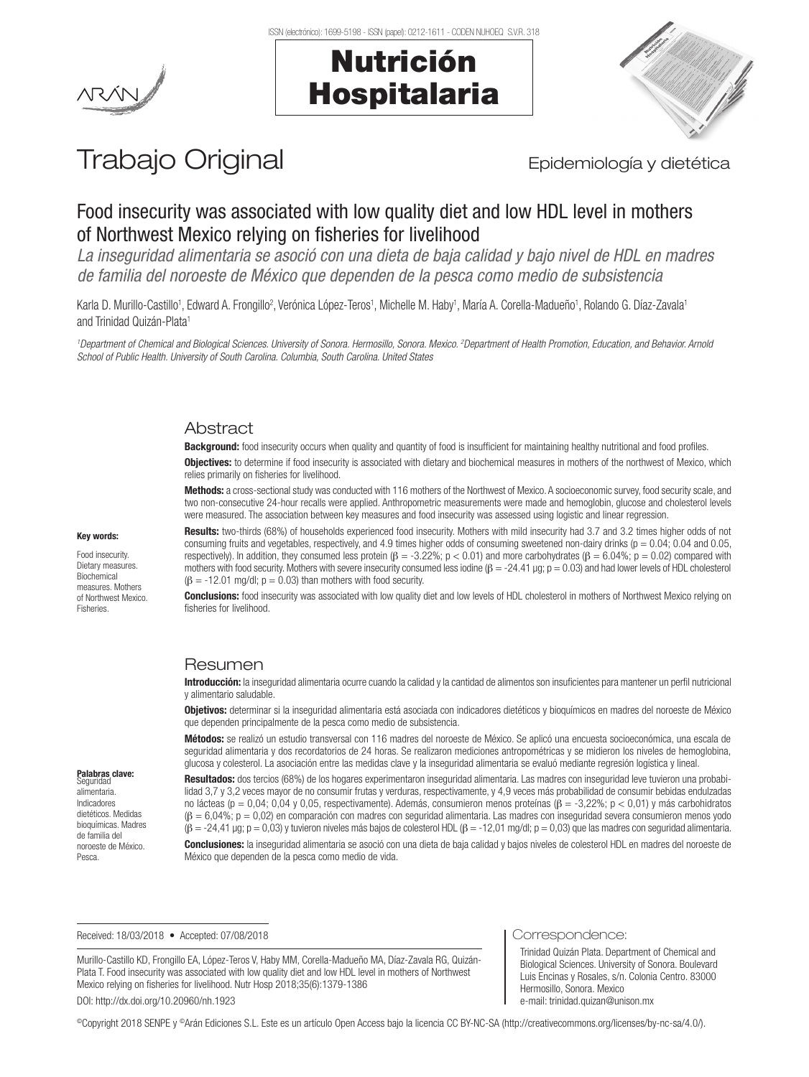





# Trabajo Original **Epidemiología y dietética**

# Food insecurity was associated with low quality diet and low HDL level in mothers of Northwest Mexico relying on fisheries for livelihood

*La inseguridad alimentaria se asoció con una dieta de baja calidad y bajo nivel de HDL en madres de familia del noroeste de México que dependen de la pesca como medio de subsistencia*

Karla D. Murillo-Castillo<sup>1</sup>, Edward A. Frongillo<sup>2</sup>, Verónica López-Teros<sup>1</sup>, Michelle M. Haby<sup>1</sup>, María A. Corella-Madueño<sup>1</sup>, Rolando G. Díaz-Zavala<sup>1</sup> and Trinidad Quizán-Plata<sup>1</sup>

<sup>1</sup>Department of Chemical and Biological Sciences. University of Sonora. Hermosillo, Sonora. Mexico. <sup>2</sup>Department of Health Promotion, Education, and Behavior. Arnold *School of Public Health. University of South Carolina. Columbia, South Carolina. United States*

# Abstract

Background: food insecurity occurs when quality and quantity of food is insufficient for maintaining healthy nutritional and food profiles.

**Objectives:** to determine if food insecurity is associated with dietary and biochemical measures in mothers of the northwest of Mexico, which relies primarily on fisheries for livelihood.

Methods: a cross-sectional study was conducted with 116 mothers of the Northwest of Mexico. A socioeconomic survey, food security scale, and two non-consecutive 24-hour recalls were applied. Anthropometric measurements were made and hemoglobin, glucose and cholesterol levels were measured. The association between key measures and food insecurity was assessed using logistic and linear regression.

#### Key words:

Food insecurity. Dietary measures. Biochemical measures. Mothers of Northwest Mexico. Fisheries.

Palabras clave: eguridad alimentaria. Indicadores dietéticos. Medidas bioquímicas. Madres de familia del noroeste de México. Pesca.

Results: two-thirds (68%) of households experienced food insecurity. Mothers with mild insecurity had 3.7 and 3.2 times higher odds of not consuming fruits and vegetables, respectively, and 4.9 times higher odds of consuming sweetened non-dairy drinks ( $p = 0.04$ ; 0.04 and 0.05, respectively). In addition, they consumed less protein (β = -3.22%; p < 0.01) and more carbohydrates (β = 6.04%; p = 0.02) compared with mothers with food security. Mothers with severe insecurity consumed less iodine  $(\beta = -24.41 \text{ µg}; p = 0.03)$  and had lower levels of HDL cholesterol  $(\beta = -12.01 \text{ mg/d}$ ;  $p = 0.03$ ) than mothers with food security.

**Conclusions:** food insecurity was associated with low quality diet and low levels of HDL cholesterol in mothers of Northwest Mexico relying on fisheries for livelihood.

#### Resumen

Introducción: la inseguridad alimentaria ocurre cuando la calidad y la cantidad de alimentos son insuficientes para mantener un perfil nutricional y alimentario saludable.

Objetivos: determinar si la inseguridad alimentaria está asociada con indicadores dietéticos y bioquímicos en madres del noroeste de México que dependen principalmente de la pesca como medio de subsistencia.

Métodos: se realizó un estudio transversal con 116 madres del noroeste de México. Se aplicó una encuesta socioeconómica, una escala de seguridad alimentaria y dos recordatorios de 24 horas. Se realizaron mediciones antropométricas y se midieron los niveles de hemoglobina, glucosa y colesterol. La asociación entre las medidas clave y la inseguridad alimentaria se evaluó mediante regresión logística y lineal.

Resultados: dos tercios (68%) de los hogares experimentaron inseguridad alimentaria. Las madres con inseguridad leve tuvieron una probabilidad 3,7 y 3,2 veces mayor de no consumir frutas y verduras, respectivamente, y 4,9 veces más probabilidad de consumir bebidas endulzadas no lácteas (p = 0,04; 0,04 y 0,05, respectivamente). Además, consumieron menos proteínas (β = -3,22%; p < 0,01) y más carbohidratos (β = 6,04%; p = 0,02) en comparación con madres con seguridad alimentaria. Las madres con inseguridad severa consumieron menos yodo  $(\beta = -24.41 \text{ µg}; \rho = 0.03)$  y tuvieron niveles más bajos de colesterol HDL  $(\beta = -12.01 \text{ mg/d}$ ;  $\rho = 0.03)$  que las madres con seguridad alimentaria.

Conclusiones: la inseguridad alimentaria se asoció con una dieta de baja calidad y bajos niveles de colesterol HDL en madres del noroeste de México que dependen de la pesca como medio de vida.

Received: 18/03/2018 • Accepted: 07/08/2018

Murillo-Castillo KD, Frongillo EA, López-Teros V, Haby MM, Corella-Madueño MA, Díaz-Zavala RG, Quizán-Plata T. Food insecurity was associated with low quality diet and low HDL level in mothers of Northwest Mexico relying on fisheries for livelihood. Nutr Hosp 2018;35(6):1379-1386 DOI: http://dx.doi.org/10.20960/nh.1923

Correspondence:

Trinidad Quizán Plata. Department of Chemical and Biological Sciences. University of Sonora. Boulevard Luis Encinas y Rosales, s/n. Colonia Centro. 83000 Hermosillo, Sonora. Mexico e-mail: trinidad.quizan@unison.mx

©Copyright 2018 SENPE y ©Arán Ediciones S.L. Este es un artículo Open Access bajo la licencia CC BY-NC-SA (http://creativecommons.org/licenses/by-nc-sa/4.0/).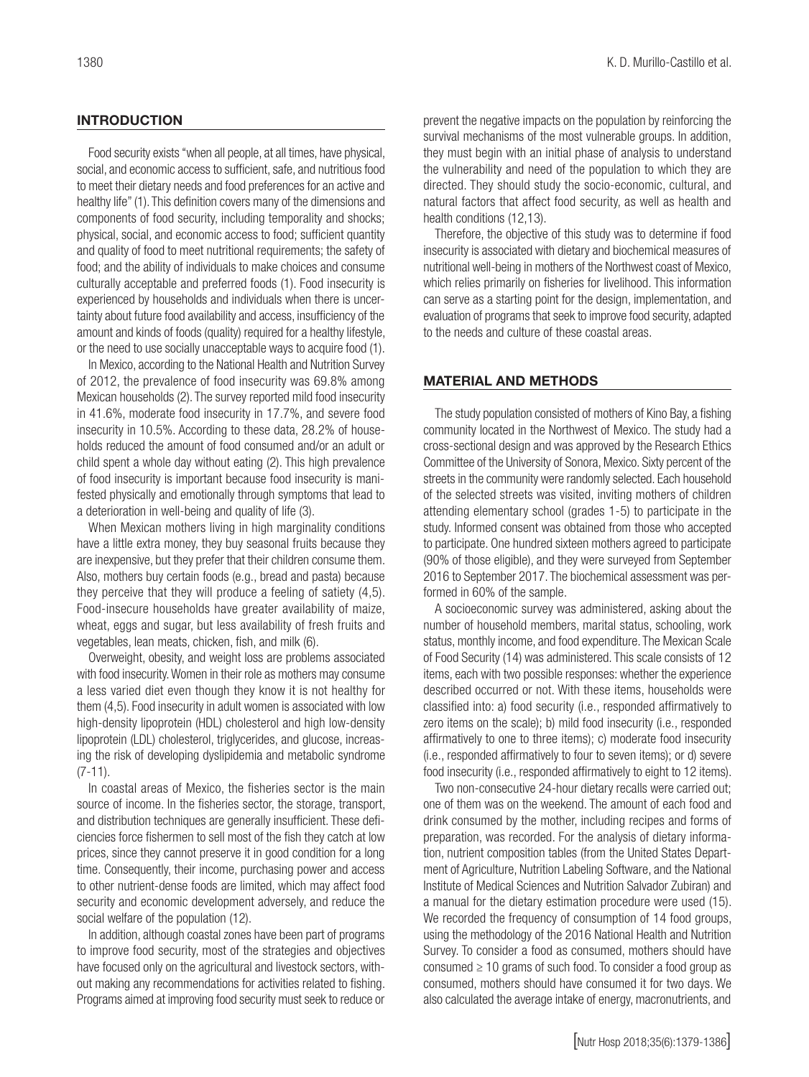### **INTRODUCTION**

Food security exists ''when all people, at all times, have physical, social, and economic access to sufficient, safe, and nutritious food to meet their dietary needs and food preferences for an active and healthy life" (1). This definition covers many of the dimensions and components of food security, including temporality and shocks; physical, social, and economic access to food; sufficient quantity and quality of food to meet nutritional requirements; the safety of food; and the ability of individuals to make choices and consume culturally acceptable and preferred foods (1). Food insecurity is experienced by households and individuals when there is uncertainty about future food availability and access, insufficiency of the amount and kinds of foods (quality) required for a healthy lifestyle, or the need to use socially unacceptable ways to acquire food (1).

In Mexico, according to the National Health and Nutrition Survey of 2012, the prevalence of food insecurity was 69.8% among Mexican households (2). The survey reported mild food insecurity in 41.6%, moderate food insecurity in 17.7%, and severe food insecurity in 10.5%. According to these data, 28.2% of households reduced the amount of food consumed and/or an adult or child spent a whole day without eating (2). This high prevalence of food insecurity is important because food insecurity is manifested physically and emotionally through symptoms that lead to a deterioration in well-being and quality of life (3).

When Mexican mothers living in high marginality conditions have a little extra money, they buy seasonal fruits because they are inexpensive, but they prefer that their children consume them. Also, mothers buy certain foods (e.g., bread and pasta) because they perceive that they will produce a feeling of satiety (4,5). Food-insecure households have greater availability of maize, wheat, eggs and sugar, but less availability of fresh fruits and vegetables, lean meats, chicken, fish, and milk (6).

Overweight, obesity, and weight loss are problems associated with food insecurity. Women in their role as mothers may consume a less varied diet even though they know it is not healthy for them (4,5). Food insecurity in adult women is associated with low high-density lipoprotein (HDL) cholesterol and high low-density lipoprotein (LDL) cholesterol, triglycerides, and glucose, increasing the risk of developing dyslipidemia and metabolic syndrome  $(7-11)$ .

In coastal areas of Mexico, the fisheries sector is the main source of income. In the fisheries sector, the storage, transport, and distribution techniques are generally insufficient. These deficiencies force fishermen to sell most of the fish they catch at low prices, since they cannot preserve it in good condition for a long time. Consequently, their income, purchasing power and access to other nutrient-dense foods are limited, which may affect food security and economic development adversely, and reduce the social welfare of the population (12).

In addition, although coastal zones have been part of programs to improve food security, most of the strategies and objectives have focused only on the agricultural and livestock sectors, without making any recommendations for activities related to fishing. Programs aimed at improving food security must seek to reduce or prevent the negative impacts on the population by reinforcing the survival mechanisms of the most vulnerable groups. In addition, they must begin with an initial phase of analysis to understand the vulnerability and need of the population to which they are directed. They should study the socio-economic, cultural, and natural factors that affect food security, as well as health and health conditions (12,13).

Therefore, the objective of this study was to determine if food insecurity is associated with dietary and biochemical measures of nutritional well-being in mothers of the Northwest coast of Mexico, which relies primarily on fisheries for livelihood. This information can serve as a starting point for the design, implementation, and evaluation of programs that seek to improve food security, adapted to the needs and culture of these coastal areas.

#### MATERIAL AND METHODS

The study population consisted of mothers of Kino Bay, a fishing community located in the Northwest of Mexico. The study had a cross-sectional design and was approved by the Research Ethics Committee of the University of Sonora, Mexico. Sixty percent of the streets in the community were randomly selected. Each household of the selected streets was visited, inviting mothers of children attending elementary school (grades 1-5) to participate in the study. Informed consent was obtained from those who accepted to participate. One hundred sixteen mothers agreed to participate (90% of those eligible), and they were surveyed from September 2016 to September 2017. The biochemical assessment was performed in 60% of the sample.

A socioeconomic survey was administered, asking about the number of household members, marital status, schooling, work status, monthly income, and food expenditure. The Mexican Scale of Food Security (14) was administered. This scale consists of 12 items, each with two possible responses: whether the experience described occurred or not. With these items, households were classified into: a) food security (i.e., responded affirmatively to zero items on the scale); b) mild food insecurity (i.e., responded affirmatively to one to three items); c) moderate food insecurity (i.e., responded affirmatively to four to seven items); or d) severe food insecurity (i.e., responded affirmatively to eight to 12 items).

Two non-consecutive 24-hour dietary recalls were carried out; one of them was on the weekend. The amount of each food and drink consumed by the mother, including recipes and forms of preparation, was recorded. For the analysis of dietary information, nutrient composition tables (from the United States Department of Agriculture, Nutrition Labeling Software, and the National Institute of Medical Sciences and Nutrition Salvador Zubiran) and a manual for the dietary estimation procedure were used (15). We recorded the frequency of consumption of 14 food groups, using the methodology of the 2016 National Health and Nutrition Survey. To consider a food as consumed, mothers should have consumed  $\geq 10$  grams of such food. To consider a food group as consumed, mothers should have consumed it for two days. We also calculated the average intake of energy, macronutrients, and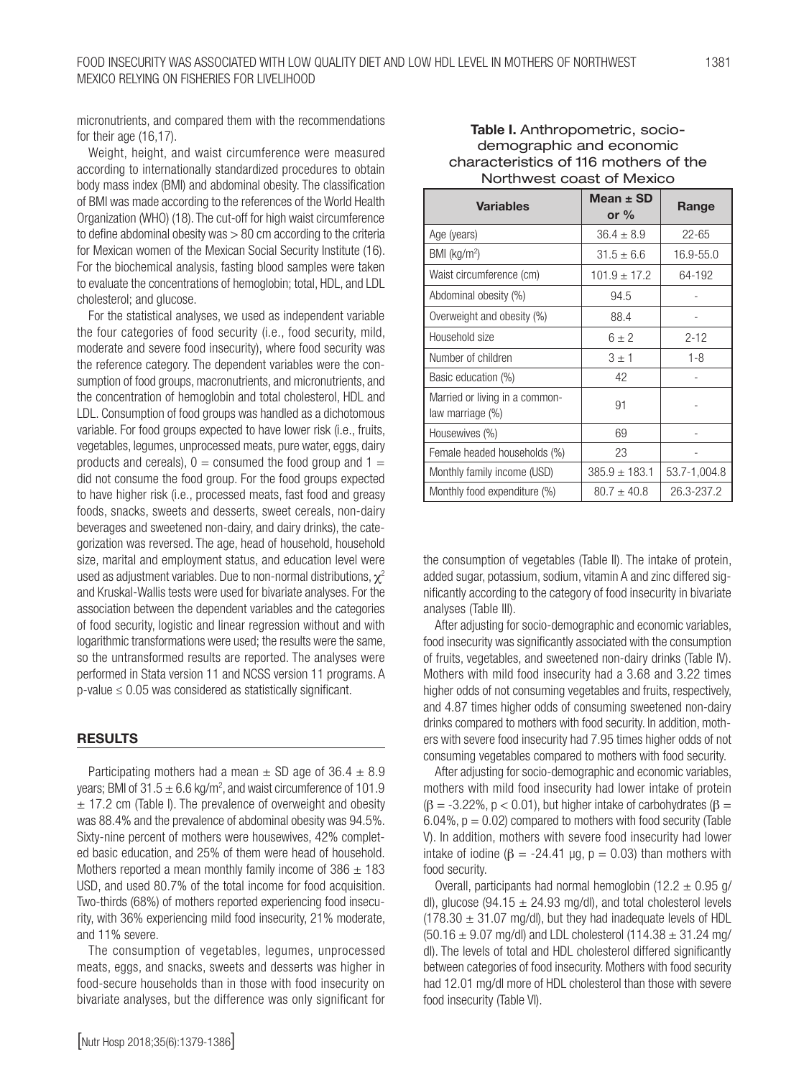micronutrients, and compared them with the recommendations for their age (16,17).

Weight, height, and waist circumference were measured according to internationally standardized procedures to obtain body mass index (BMI) and abdominal obesity. The classification of BMI was made according to the references of the World Health Organization (WHO) (18). The cut-off for high waist circumference to define abdominal obesity was > 80 cm according to the criteria for Mexican women of the Mexican Social Security Institute (16). For the biochemical analysis, fasting blood samples were taken to evaluate the concentrations of hemoglobin; total, HDL, and LDL cholesterol; and glucose.

For the statistical analyses, we used as independent variable the four categories of food security (i.e., food security, mild, moderate and severe food insecurity), where food security was the reference category. The dependent variables were the consumption of food groups, macronutrients, and micronutrients, and the concentration of hemoglobin and total cholesterol, HDL and LDL. Consumption of food groups was handled as a dichotomous variable. For food groups expected to have lower risk (i.e., fruits, vegetables, legumes, unprocessed meats, pure water, eggs, dairy products and cereals),  $0 =$  consumed the food group and  $1 =$ did not consume the food group. For the food groups expected to have higher risk (i.e., processed meats, fast food and greasy foods, snacks, sweets and desserts, sweet cereals, non-dairy beverages and sweetened non-dairy, and dairy drinks), the categorization was reversed. The age, head of household, household size, marital and employment status, and education level were used as adjustment variables. Due to non-normal distributions,  $\chi^2$ and Kruskal-Wallis tests were used for bivariate analyses. For the association between the dependent variables and the categories of food security, logistic and linear regression without and with logarithmic transformations were used; the results were the same, so the untransformed results are reported. The analyses were performed in Stata version 11 and NCSS version 11 programs. A p-value ≤ 0.05 was considered as statistically significant.

#### RESULTS

Participating mothers had a mean  $\pm$  SD age of 36.4  $\pm$  8.9 years; BMI of  $31.5 \pm 6.6$  kg/m<sup>2</sup>, and waist circumference of 101.9  $\pm$  17.2 cm (Table I). The prevalence of overweight and obesity was 88.4% and the prevalence of abdominal obesity was 94.5%. Sixty-nine percent of mothers were housewives, 42% completed basic education, and 25% of them were head of household. Mothers reported a mean monthly family income of  $386 \pm 183$ USD, and used 80.7% of the total income for food acquisition. Two-thirds (68%) of mothers reported experiencing food insecurity, with 36% experiencing mild food insecurity, 21% moderate, and 11% severe.

The consumption of vegetables, legumes, unprocessed meats, eggs, and snacks, sweets and desserts was higher in food-secure households than in those with food insecurity on bivariate analyses, but the difference was only significant for

# Table I. Anthropometric, sociodemographic and economic characteristics of 116 mothers of the Northwest coast of Mexico

| <b>Variables</b>                                   | Mean $\pm$ SD<br>or $%$ | Range         |  |
|----------------------------------------------------|-------------------------|---------------|--|
| Age (years)                                        | $36.4 \pm 8.9$          | $22 - 65$     |  |
| BMI (kg/m <sup>2</sup> )                           | $31.5 \pm 6.6$          | $16.9 - 55.0$ |  |
| Waist circumference (cm)                           | $101.9 \pm 17.2$        | 64-192        |  |
| Abdominal obesity (%)                              | 94.5                    |               |  |
| Overweight and obesity (%)                         | 88.4                    |               |  |
| Household size                                     | $6 + 2$                 | $2 - 12$      |  |
| Number of children                                 | $3 \pm 1$               | $1 - 8$       |  |
| Basic education (%)                                | 42                      |               |  |
| Married or living in a common-<br>law marriage (%) | 91                      |               |  |
| Housewives (%)                                     | 69                      |               |  |
| Female headed households (%)                       | 23                      |               |  |
| Monthly family income (USD)                        | $385.9 \pm 183.1$       | 53.7-1,004.8  |  |
| Monthly food expenditure (%)                       | $80.7 \pm 40.8$         | 26.3-237.2    |  |

the consumption of vegetables (Table II). The intake of protein, added sugar, potassium, sodium, vitamin A and zinc differed significantly according to the category of food insecurity in bivariate analyses (Table III).

After adjusting for socio-demographic and economic variables, food insecurity was significantly associated with the consumption of fruits, vegetables, and sweetened non-dairy drinks (Table IV). Mothers with mild food insecurity had a 3.68 and 3.22 times higher odds of not consuming vegetables and fruits, respectively, and 4.87 times higher odds of consuming sweetened non-dairy drinks compared to mothers with food security. In addition, mothers with severe food insecurity had 7.95 times higher odds of not consuming vegetables compared to mothers with food security.

After adjusting for socio-demographic and economic variables, mothers with mild food insecurity had lower intake of protein ( $\beta$  = -3.22%, p < 0.01), but higher intake of carbohydrates ( $\beta$  = 6.04%,  $p = 0.02$ ) compared to mothers with food security (Table V). In addition, mothers with severe food insecurity had lower intake of iodine ( $\beta$  = -24.41 µg,  $p = 0.03$ ) than mothers with food security.

Overall, participants had normal hemoglobin (12.2  $\pm$  0.95 g/ dl), glucose (94.15  $\pm$  24.93 mg/dl), and total cholesterol levels  $(178.30 \pm 31.07 \text{ mg/d})$ , but they had inadequate levels of HDL  $(50.16 \pm 9.07 \text{ mg/d})$  and LDL cholesterol  $(114.38 \pm 31.24 \text{ mg/d})$ dl). The levels of total and HDL cholesterol differed significantly between categories of food insecurity. Mothers with food security had 12.01 mg/dl more of HDL cholesterol than those with severe food insecurity (Table VI).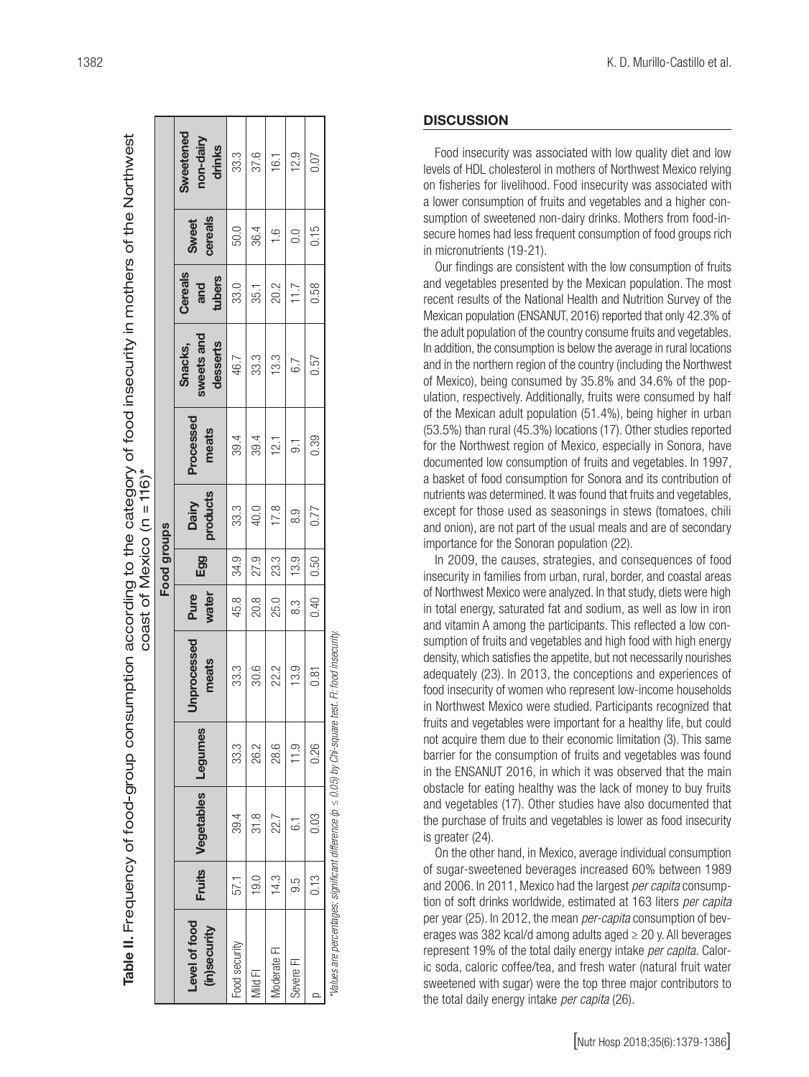Table II. Frequency of food-group consumption according to the category of food insecurity in mothers of the Northwest

Table II. Frequency of food-group consumption according to the category of food insecurity in mothers of the Northwest

Fl: food insecurity. *\*Values are percentages; significant difference (p ≤ 0.05) by Chi-square test. FI: food insecurity.*/alues are percentages; significant difference ( $p \leq 0.05$ ) by Chi-square test.

1382 K. D. Murillo-Castillo et al.

#### **DISCUSSION**

Food insecurity was associated with low quality diet and low levels of HDL cholesterol in mothers of Northwest Mexico relying on fisheries for livelihood. Food insecurity was associated with a lower consumption of fruits and vegetables and a higher con sumption of sweetened non-dairy drinks. Mothers from food-in secure homes had less frequent consumption of food groups rich in micronutrients (19-21).

Our findings are consistent with the low consumption of fruits and vegetables presented by the Mexican population. The most recent results of the National Health and Nutrition Survey of the Mexican population (ENSANUT, 2016) reported that only 42.3% of the adult population of the country consume fruits and vegetables. In addition, the consumption is below the average in rural locations and in the northern region of the country (including the Northwest of Mexico), being consumed by 35.8% and 34.6% of the pop ulation, respectively. Additionally, fruits were consumed by half of the Mexican adult population (51.4%), being higher in urban (53.5%) than rural (45.3%) locations (17). Other studies reported for the Northwest region of Mexico, especially in Sonora, have documented low consumption of fruits and vegetables. In 1997, a basket of food consumption for Sonora and its contribution of nutrients was determined. It was found that fruits and vegetables, except for those used as seasonings in stews (tomatoes, chili and onion), are not part of the usual meals and are of secondary importance for the Sonoran population (22).

In 2009, the causes, strategies, and consequences of food insecurity in families from urban, rural, border, and coastal areas of Northwest Mexico were analyzed. In that study, diets were high in total energy, saturated fat and sodium, as well as low in iron and vitamin A among the participants. This reflected a low con sumption of fruits and vegetables and high food with high energy density, which satisfies the appetite, but not necessarily nourishes adequately (23). In 2013, the conceptions and experiences of food insecurity of women who represent low-income households in Northwest Mexico were studied. Participants recognized that fruits and vegetables were important for a healthy life, but could not acquire them due to their economic limitation (3). This same barrier for the consumption of fruits and vegetables was found in the ENSANUT 2016, in which it was observed that the main obstacle for eating healthy was the lack of money to buy fruits and vegetables (17). Other studies have also documented that the purchase of fruits and vegetables is lower as food insecurity is greater (24).

On the other hand, in Mexico, average individual consumption of sugar-sweetened beverages increased 60% between 1989 and 2006. In 2011, Mexico had the largest *per capita* consump tion of soft drinks worldwide, estimated at 163 liters *per capita* per year (25). In 2012, the mean *per-capita* consumption of bev erages was 382 kcal/d among adults aged  $\geq$  20 y. All beverages represent 19% of the total daily energy intake *per capita.* Calor ic soda, caloric coffee/tea, and fresh water (natural fruit water sweetened with sugar) were the top three major contributors to the total daily energy intake *per capita* (26).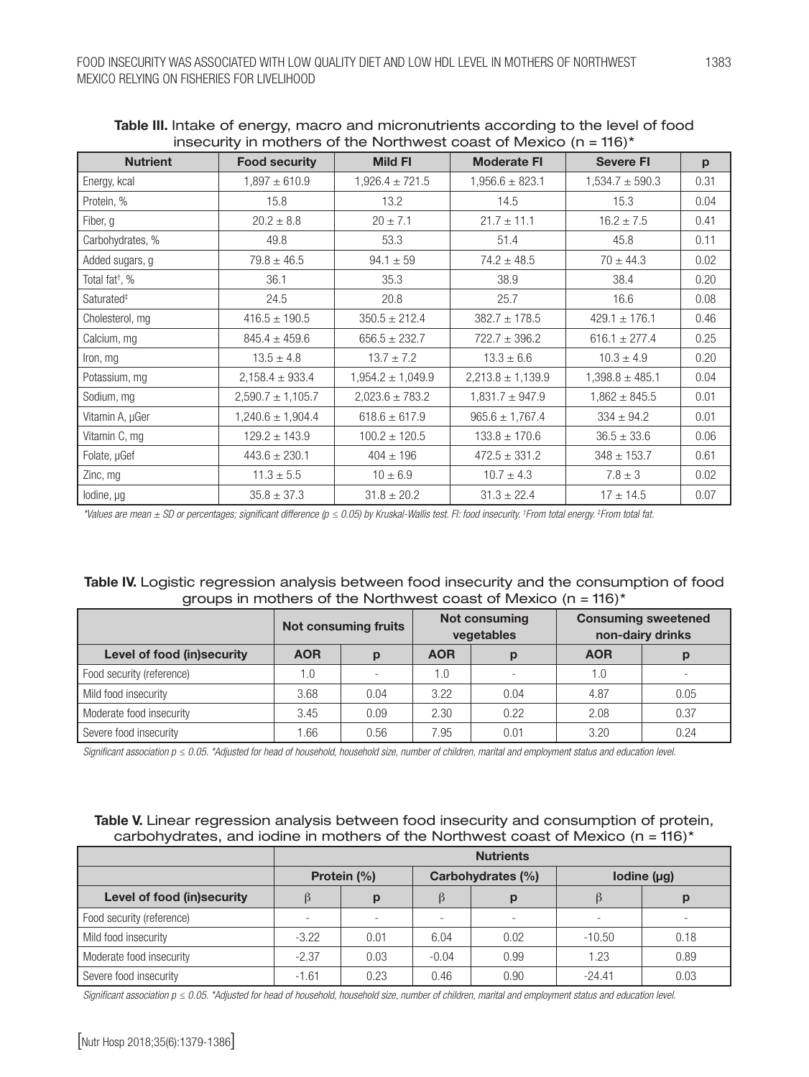| $\frac{1}{2}$ is a control of the state interference of $\frac{1}{2}$ interference $\frac{1}{2}$ is a control of $\frac{1}{2}$ |                       |                       |                       |                     |      |  |  |  |
|--------------------------------------------------------------------------------------------------------------------------------|-----------------------|-----------------------|-----------------------|---------------------|------|--|--|--|
| <b>Nutrient</b>                                                                                                                | <b>Food security</b>  | <b>Mild FI</b>        | <b>Moderate FI</b>    | <b>Severe FI</b>    | p    |  |  |  |
| Energy, kcal                                                                                                                   | $1,897 \pm 610.9$     | $1,926.4 \pm 721.5$   | $1,956.6 \pm 823.1$   | $1,534.7 \pm 590.3$ | 0.31 |  |  |  |
| Protein, %                                                                                                                     | 15.8                  | 13.2                  | 14.5                  | 15.3                | 0.04 |  |  |  |
| Fiber, g                                                                                                                       | $20.2 \pm 8.8$        | $20 \pm 7.1$          | $21.7 \pm 11.1$       | $16.2 \pm 7.5$      | 0.41 |  |  |  |
| Carbohydrates, %                                                                                                               | 49.8                  | 53.3                  | 51.4                  | 45.8                | 0.11 |  |  |  |
| Added sugars, g                                                                                                                | $79.8 \pm 46.5$       | $94.1 \pm 59$         | $74.2 \pm 48.5$       | $70 \pm 44.3$       | 0.02 |  |  |  |
| Total fat <sup>†</sup> , %                                                                                                     | 36.1                  | 35.3                  | 38.9                  | 38.4                | 0.20 |  |  |  |
| Saturated <sup>#</sup>                                                                                                         | 24.5                  | 20.8                  | 25.7                  | 16.6                | 0.08 |  |  |  |
| Cholesterol, mg                                                                                                                | $416.5 \pm 190.5$     | $350.5 \pm 212.4$     | $382.7 \pm 178.5$     | $429.1 \pm 176.1$   | 0.46 |  |  |  |
| Calcium, mg                                                                                                                    | $845.4 \pm 459.6$     | $656.5 \pm 232.7$     | $722.7 \pm 396.2$     | $616.1 \pm 277.4$   | 0.25 |  |  |  |
| Iron, mg                                                                                                                       | $13.5 \pm 4.8$        | $13.7 \pm 7.2$        | $13.3 \pm 6.6$        | $10.3 \pm 4.9$      | 0.20 |  |  |  |
| Potassium, mg                                                                                                                  | $2,158.4 \pm 933.4$   | $1,954.2 \pm 1,049.9$ | $2,213.8 \pm 1,139.9$ | $1,398.8 \pm 485.1$ | 0.04 |  |  |  |
| Sodium, mg                                                                                                                     | $2,590.7 \pm 1,105.7$ | $2,023.6 \pm 783.2$   | $1,831.7 \pm 947.9$   | $1,862 \pm 845.5$   | 0.01 |  |  |  |
| Vitamin A, µGer                                                                                                                | $1,240.6 \pm 1,904.4$ | $618.6 \pm 617.9$     | $965.6 \pm 1,767.4$   | $334 \pm 94.2$      | 0.01 |  |  |  |
| Vitamin C, mg                                                                                                                  | $129.2 \pm 143.9$     | $100.2 \pm 120.5$     | $133.8 \pm 170.6$     | $36.5 \pm 33.6$     | 0.06 |  |  |  |
| Folate, µGef                                                                                                                   | $443.6 \pm 230.1$     | $404 \pm 196$         | $472.5 \pm 331.2$     | $348 \pm 153.7$     | 0.61 |  |  |  |
| Zinc, mg                                                                                                                       | $11.3 \pm 5.5$        | $10 \pm 6.9$          | $10.7 \pm 4.3$        | $7.8 \pm 3$         | 0.02 |  |  |  |
| lodine, µg                                                                                                                     | $35.8 \pm 37.3$       | $31.8 \pm 20.2$       | $31.3 \pm 22.4$       | $17 \pm 14.5$       | 0.07 |  |  |  |

Table III. Intake of energy, macro and micronutrients according to the level of food insecurity in mothers of the Northwest coast of Mexico  $(n - 116)^*$ 

*\*Values are mean ± SD or percentages; significant difference (p ≤ 0.05) by Kruskal-Wallis test. FI: food insecurity. † From total energy. ‡ From total fat.*

| Table IV. Logistic regression analysis between food insecurity and the consumption of food |  |
|--------------------------------------------------------------------------------------------|--|
| groups in mothers of the Northwest coast of Mexico ( $n = 116$ )*                          |  |

|                             | <b>Not consuming fruits</b> |      | <b>Not consuming</b><br>vegetables |      | <b>Consuming sweetened</b><br>non-dairy drinks |      |
|-----------------------------|-----------------------------|------|------------------------------------|------|------------------------------------------------|------|
| Level of food (in) security | <b>AOR</b>                  |      | <b>AOR</b>                         |      | <b>AOR</b>                                     |      |
| Food security (reference)   | 1.0                         |      | 1.0                                |      | 1.0                                            |      |
| Mild food insecurity        | 3.68                        | 0.04 | 3.22                               | 0.04 | 4.87                                           | 0.05 |
| Moderate food insecurity    | 3.45                        | 0.09 | 2.30                               | 0.22 | 2.08                                           | 0.37 |
| Severe food insecurity      | .66                         | 0.56 | 7.95                               | 0.01 | 3.20                                           | 0.24 |

*Significant association p ≤ 0.05. \*Adjusted for head of household, household size, number of children, marital and employment status and education level.* 

# Table V. Linear regression analysis between food insecurity and consumption of protein, carbohydrates, and iodine in mothers of the Northwest coast of Mexico (n = 116)\*

|                            | <b>Nutrients</b>         |      |                   |      |                  |      |
|----------------------------|--------------------------|------|-------------------|------|------------------|------|
|                            | Protein (%)              |      | Carbohydrates (%) |      | Iodine $(\mu g)$ |      |
| Level of food (in)security |                          | р    |                   |      |                  |      |
| Food security (reference)  | $\overline{\phantom{a}}$ |      |                   |      |                  |      |
| Mild food insecurity       | $-3.22$                  | 0.01 | 6.04              | 0.02 | $-10.50$         | 0.18 |
| Moderate food insecurity   | $-2.37$                  | 0.03 | $-0.04$           | 0.99 | 1.23             | 0.89 |
| Severe food insecurity     | $-1.61$                  | 0.23 | 0.46              | 0.90 | $-24.41$         | 0.03 |

*Significant association p ≤ 0.05. \*Adjusted for head of household, household size, number of children, marital and employment status and education level.*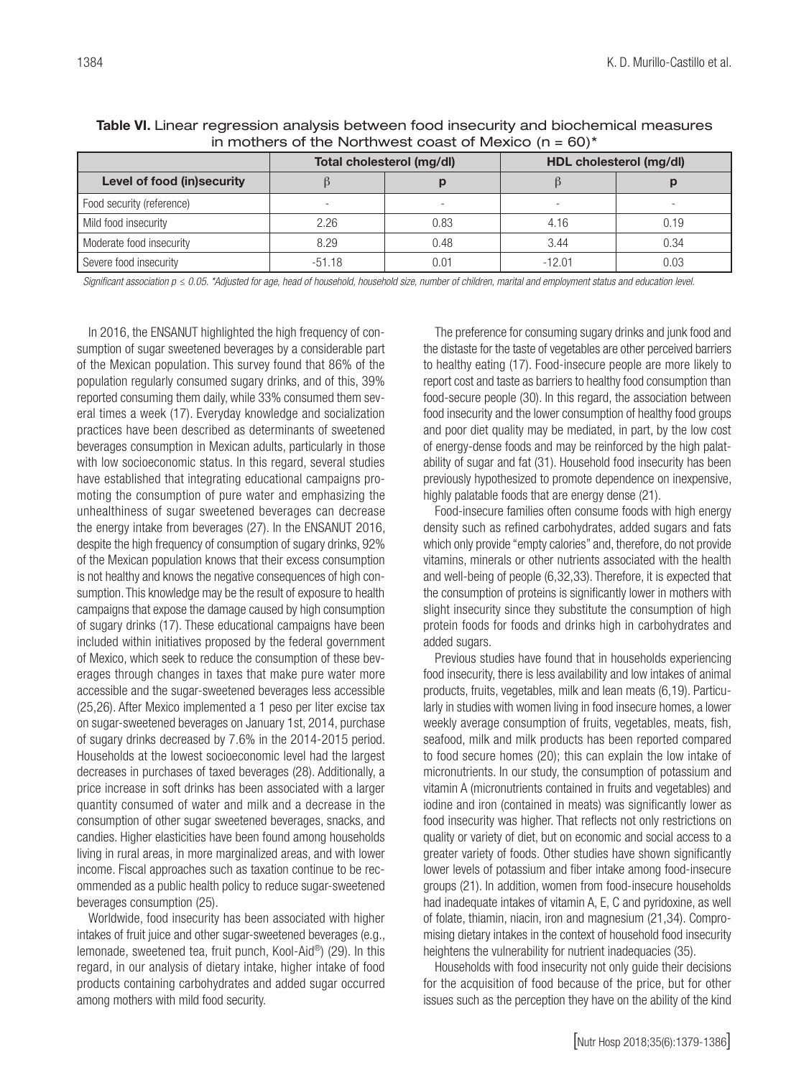|                            |          | Total cholesterol (mg/dl) | HDL cholesterol (mg/dl) |      |  |  |
|----------------------------|----------|---------------------------|-------------------------|------|--|--|
| Level of food (in)security |          |                           |                         |      |  |  |
| Food security (reference)  | ۰        |                           |                         |      |  |  |
| Mild food insecurity       | 2.26     | 0.83                      | 4.16                    | 0.19 |  |  |
| Moderate food insecurity   | 8.29     | 0.48                      | 3.44                    | 0.34 |  |  |
| Severe food insecurity     | $-51.18$ | N.N1                      | $-12.01$                | 0.03 |  |  |

Table VI. Linear regression analysis between food insecurity and biochemical measures in mothers of the Northwest coast of Mexico  $(n = 60)^*$ 

*Significant association p ≤ 0.05. \*Adjusted for age, head of household, household size, number of children, marital and employment status and education level.*

In 2016, the ENSANUT highlighted the high frequency of consumption of sugar sweetened beverages by a considerable part of the Mexican population. This survey found that 86% of the population regularly consumed sugary drinks, and of this, 39% reported consuming them daily, while 33% consumed them several times a week (17). Everyday knowledge and socialization practices have been described as determinants of sweetened beverages consumption in Mexican adults, particularly in those with low socioeconomic status. In this regard, several studies have established that integrating educational campaigns promoting the consumption of pure water and emphasizing the unhealthiness of sugar sweetened beverages can decrease the energy intake from beverages (27). In the ENSANUT 2016, despite the high frequency of consumption of sugary drinks, 92% of the Mexican population knows that their excess consumption is not healthy and knows the negative consequences of high consumption. This knowledge may be the result of exposure to health campaigns that expose the damage caused by high consumption of sugary drinks (17). These educational campaigns have been included within initiatives proposed by the federal government of Mexico, which seek to reduce the consumption of these beverages through changes in taxes that make pure water more accessible and the sugar-sweetened beverages less accessible (25,26). After Mexico implemented a 1 peso per liter excise tax on sugar-sweetened beverages on January 1st, 2014, purchase of sugary drinks decreased by 7.6% in the 2014-2015 period. Households at the lowest socioeconomic level had the largest decreases in purchases of taxed beverages (28). Additionally, a price increase in soft drinks has been associated with a larger quantity consumed of water and milk and a decrease in the consumption of other sugar sweetened beverages, snacks, and candies. Higher elasticities have been found among households living in rural areas, in more marginalized areas, and with lower income. Fiscal approaches such as taxation continue to be recommended as a public health policy to reduce sugar-sweetened beverages consumption (25).

Worldwide, food insecurity has been associated with higher intakes of fruit juice and other sugar-sweetened beverages (e.g., lemonade, sweetened tea, fruit punch, Kool-Aid®) (29). In this regard, in our analysis of dietary intake, higher intake of food products containing carbohydrates and added sugar occurred among mothers with mild food security.

The preference for consuming sugary drinks and junk food and the distaste for the taste of vegetables are other perceived barriers to healthy eating (17). Food-insecure people are more likely to report cost and taste as barriers to healthy food consumption than food-secure people (30). In this regard, the association between food insecurity and the lower consumption of healthy food groups and poor diet quality may be mediated, in part, by the low cost of energy-dense foods and may be reinforced by the high palatability of sugar and fat (31). Household food insecurity has been previously hypothesized to promote dependence on inexpensive, highly palatable foods that are energy dense (21).

Food-insecure families often consume foods with high energy density such as refined carbohydrates, added sugars and fats which only provide "empty calories" and, therefore, do not provide vitamins, minerals or other nutrients associated with the health and well-being of people (6,32,33). Therefore, it is expected that the consumption of proteins is significantly lower in mothers with slight insecurity since they substitute the consumption of high protein foods for foods and drinks high in carbohydrates and added sugars.

Previous studies have found that in households experiencing food insecurity, there is less availability and low intakes of animal products, fruits, vegetables, milk and lean meats (6,19). Particularly in studies with women living in food insecure homes, a lower weekly average consumption of fruits, vegetables, meats, fish, seafood, milk and milk products has been reported compared to food secure homes (20); this can explain the low intake of micronutrients. In our study, the consumption of potassium and vitamin A (micronutrients contained in fruits and vegetables) and iodine and iron (contained in meats) was significantly lower as food insecurity was higher. That reflects not only restrictions on quality or variety of diet, but on economic and social access to a greater variety of foods. Other studies have shown significantly lower levels of potassium and fiber intake among food-insecure groups (21). In addition, women from food-insecure households had inadequate intakes of vitamin A, E, C and pyridoxine, as well of folate, thiamin, niacin, iron and magnesium (21,34). Compromising dietary intakes in the context of household food insecurity heightens the vulnerability for nutrient inadequacies (35).

Households with food insecurity not only guide their decisions for the acquisition of food because of the price, but for other issues such as the perception they have on the ability of the kind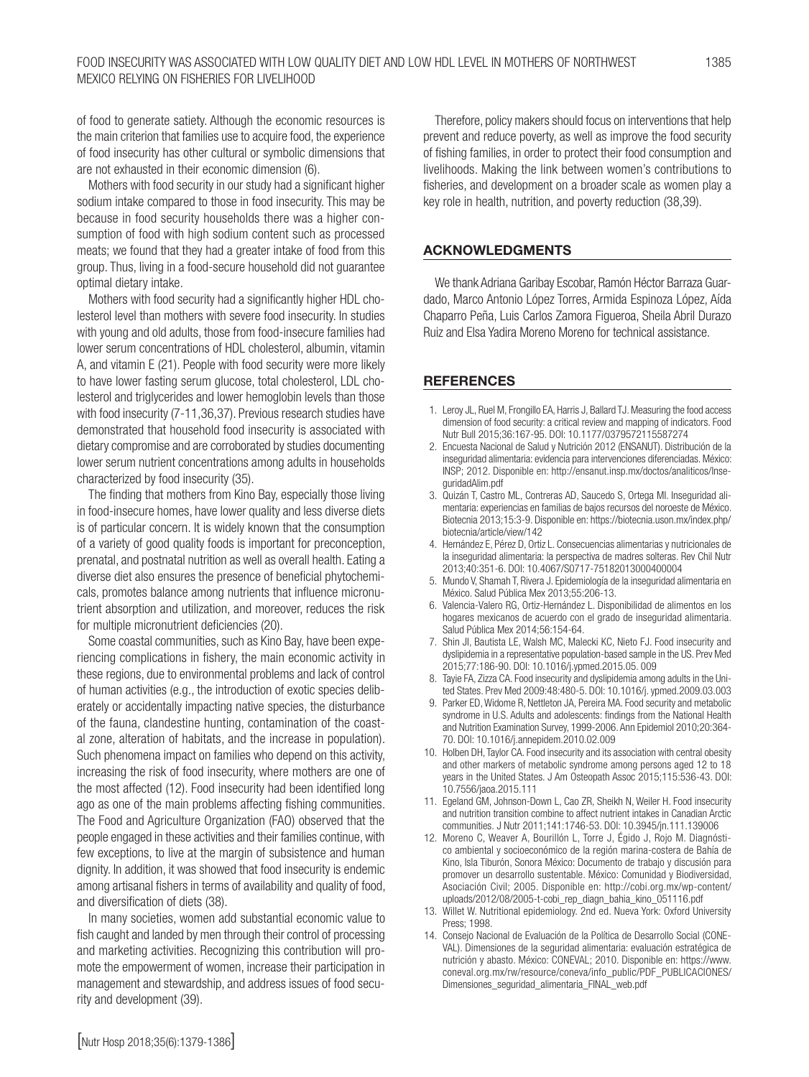of food to generate satiety. Although the economic resources is the main criterion that families use to acquire food, the experience of food insecurity has other cultural or symbolic dimensions that are not exhausted in their economic dimension (6).

Mothers with food security in our study had a significant higher sodium intake compared to those in food insecurity. This may be because in food security households there was a higher consumption of food with high sodium content such as processed meats; we found that they had a greater intake of food from this group. Thus, living in a food-secure household did not guarantee optimal dietary intake.

Mothers with food security had a significantly higher HDL cholesterol level than mothers with severe food insecurity. In studies with young and old adults, those from food-insecure families had lower serum concentrations of HDL cholesterol, albumin, vitamin A, and vitamin E (21). People with food security were more likely to have lower fasting serum glucose, total cholesterol, LDL cholesterol and triglycerides and lower hemoglobin levels than those with food insecurity (7-11,36,37). Previous research studies have demonstrated that household food insecurity is associated with dietary compromise and are corroborated by studies documenting lower serum nutrient concentrations among adults in households characterized by food insecurity (35).

The finding that mothers from Kino Bay, especially those living in food-insecure homes, have lower quality and less diverse diets is of particular concern. It is widely known that the consumption of a variety of good quality foods is important for preconception, prenatal, and postnatal nutrition as well as overall health. Eating a diverse diet also ensures the presence of beneficial phytochemicals, promotes balance among nutrients that influence micronutrient absorption and utilization, and moreover, reduces the risk for multiple micronutrient deficiencies (20).

Some coastal communities, such as Kino Bay, have been experiencing complications in fishery, the main economic activity in these regions, due to environmental problems and lack of control of human activities (e.g., the introduction of exotic species deliberately or accidentally impacting native species, the disturbance of the fauna, clandestine hunting, contamination of the coastal zone, alteration of habitats, and the increase in population). Such phenomena impact on families who depend on this activity, increasing the risk of food insecurity, where mothers are one of the most affected (12). Food insecurity had been identified long ago as one of the main problems affecting fishing communities. The Food and Agriculture Organization (FAO) observed that the people engaged in these activities and their families continue, with few exceptions, to live at the margin of subsistence and human dignity. In addition, it was showed that food insecurity is endemic among artisanal fishers in terms of availability and quality of food, and diversification of diets (38).

In many societies, women add substantial economic value to fish caught and landed by men through their control of processing and marketing activities. Recognizing this contribution will promote the empowerment of women, increase their participation in management and stewardship, and address issues of food security and development (39).

Therefore, policy makers should focus on interventions that help prevent and reduce poverty, as well as improve the food security of fishing families, in order to protect their food consumption and livelihoods. Making the link between women's contributions to fisheries, and development on a broader scale as women play a key role in health, nutrition, and poverty reduction (38,39).

#### ACKNOWLEDGMENTS

We thank Adriana Garibay Escobar, Ramón Héctor Barraza Guardado, Marco Antonio López Torres, Armida Espinoza López, Aída Chaparro Peña, Luis Carlos Zamora Figueroa, Sheila Abril Durazo Ruiz and Elsa Yadira Moreno Moreno for technical assistance.

### **REFERENCES**

- 1. Leroy JL, Ruel M, Frongillo EA, Harris J, Ballard TJ. Measuring the food access dimension of food security: a critical review and mapping of indicators. Food Nutr Bull 2015;36:167-95. DOI: 10.1177/0379572115587274
- 2. Encuesta Nacional de Salud y Nutrición 2012 (ENSANUT). Distribución de la inseguridad alimentaria: evidencia para intervenciones diferenciadas. México: INSP; 2012. Disponible en: http://ensanut.insp.mx/doctos/analiticos/InseguridadAlim.pdf
- 3. Quizán T, Castro ML, Contreras AD, Saucedo S, Ortega MI. Inseguridad alimentaria: experiencias en familias de bajos recursos del noroeste de México. Biotecnia 2013;15:3-9. Disponible en: https://biotecnia.uson.mx/index.php/ biotecnia/article/view/142
- 4. Hernández E, Pérez D, Ortiz L. Consecuencias alimentarias y nutricionales de la inseguridad alimentaria: la perspectiva de madres solteras. Rev Chil Nutr 2013;40:351-6. DOI: 10.4067/S0717-75182013000400004
- 5. Mundo V, Shamah T, Rivera J. Epidemiología de la inseguridad alimentaria en México. Salud Pública Mex 2013;55:206-13.
- 6. Valencia-Valero RG, Ortiz-Hernández L. Disponibilidad de alimentos en los hogares mexicanos de acuerdo con el grado de inseguridad alimentaria. Salud Pública Mex 2014;56:154-64.
- 7. Shin JI, Bautista LE, Walsh MC, Malecki KC, Nieto FJ. Food insecurity and dyslipidemia in a representative population-based sample in the US. Prev Med 2015;77:186-90. DOI: 10.1016/j.ypmed.2015.05. 009
- 8. Tayie FA, Zizza CA. Food insecurity and dyslipidemia among adults in the United States. Prev Med 2009:48:480-5. DOI: 10.1016/j. ypmed.2009.03.003
- 9. Parker ED, Widome R, Nettleton JA, Pereira MA. Food security and metabolic syndrome in U.S. Adults and adolescents: findings from the National Health and Nutrition Examination Survey, 1999-2006. Ann Epidemiol 2010;20:364- 70. DOI: 10.1016/j.annepidem.2010.02.009
- 10. Holben DH, Taylor CA. Food insecurity and its association with central obesity and other markers of metabolic syndrome among persons aged 12 to 18 years in the United States. J Am Osteopath Assoc 2015;115:536-43. DOI: 10.7556/jaoa.2015.111
- 11. Egeland GM, Johnson-Down L, Cao ZR, Sheikh N, Weiler H. Food insecurity and nutrition transition combine to affect nutrient intakes in Canadian Arctic communities. J Nutr 2011;141:1746-53. DOI: 10.3945/jn.111.139006
- 12. Moreno C, Weaver A, Bourillón L, Torre J, Égido J, Rojo M. Diagnóstico ambiental y socioeconómico de la región marina-costera de Bahía de Kino, Isla Tiburón, Sonora México: Documento de trabajo y discusión para promover un desarrollo sustentable. México: Comunidad y Biodiversidad, Asociación Civil; 2005. Disponible en: http://cobi.org.mx/wp-content/ uploads/2012/08/2005-t-cobi\_rep\_diagn\_bahia\_kino\_051116.pdf
- 13. Willet W. Nutritional epidemiology. 2nd ed. Nueva York: Oxford University Press; 1998.
- 14. Consejo Nacional de Evaluación de la Política de Desarrollo Social (CONE-VAL). Dimensiones de la seguridad alimentaria: evaluación estratégica de nutrición y abasto. México: CONEVAL; 2010. Disponible en: https://www. coneval.org.mx/rw/resource/coneva/info\_public/PDF\_PUBLICACIONES/ Dimensiones\_seguridad\_alimentaria\_FINAL\_web.pdf